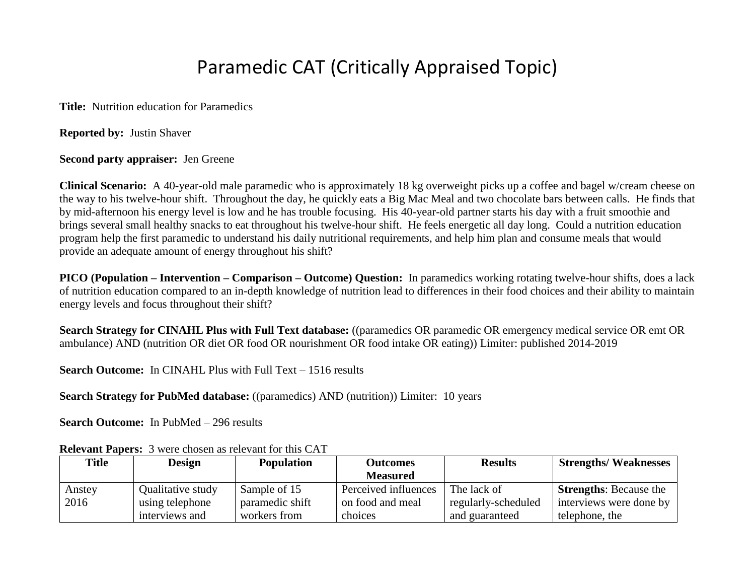## Paramedic CAT (Critically Appraised Topic)

**Title:** Nutrition education for Paramedics

**Reported by:** Justin Shaver

**Second party appraiser:** Jen Greene

**Clinical Scenario:** A 40-year-old male paramedic who is approximately 18 kg overweight picks up a coffee and bagel w/cream cheese on the way to his twelve-hour shift. Throughout the day, he quickly eats a Big Mac Meal and two chocolate bars between calls. He finds that by mid-afternoon his energy level is low and he has trouble focusing. His 40-year-old partner starts his day with a fruit smoothie and brings several small healthy snacks to eat throughout his twelve-hour shift. He feels energetic all day long. Could a nutrition education program help the first paramedic to understand his daily nutritional requirements, and help him plan and consume meals that would provide an adequate amount of energy throughout his shift?

**PICO (Population – Intervention – Comparison – Outcome) Question:** In paramedics working rotating twelve-hour shifts, does a lack of nutrition education compared to an in-depth knowledge of nutrition lead to differences in their food choices and their ability to maintain energy levels and focus throughout their shift?

**Search Strategy for CINAHL Plus with Full Text database:** ((paramedics OR paramedic OR emergency medical service OR emt OR ambulance) AND (nutrition OR diet OR food OR nourishment OR food intake OR eating)) Limiter: published 2014-2019

**Search Outcome:** In CINAHL Plus with Full Text – 1516 results

**Search Strategy for PubMed database:** ((paramedics) AND (nutrition)) Limiter: 10 years

**Search Outcome:** In PubMed – 296 results

| <b>Title</b> | <b>Design</b>     | <b>Population</b> | <b>Outcomes</b>      | <b>Results</b>      | <b>Strengths/Weaknesses</b>   |
|--------------|-------------------|-------------------|----------------------|---------------------|-------------------------------|
|              |                   |                   | <b>Measured</b>      |                     |                               |
| Anstey       | Qualitative study | Sample of 15      | Perceived influences | The lack of         | <b>Strengths:</b> Because the |
| 2016         | using telephone   | paramedic shift   | on food and meal     | regularly-scheduled | interviews were done by       |
|              | interviews and    | workers from      | choices              | and guaranteed      | telephone, the                |

**Relevant Papers:** 3 were chosen as relevant for this CAT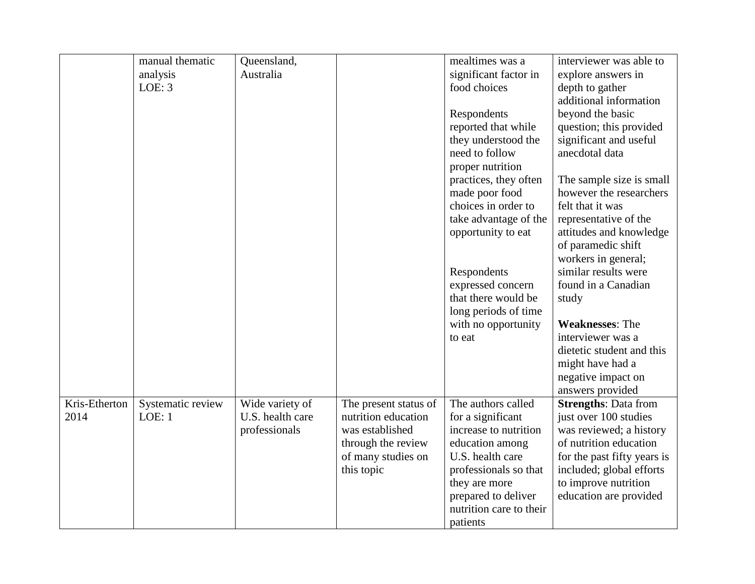|               | manual thematic   | Queensland,      |                       | mealtimes was a         | interviewer was able to     |
|---------------|-------------------|------------------|-----------------------|-------------------------|-----------------------------|
|               | analysis          | Australia        |                       | significant factor in   | explore answers in          |
|               | LOE: 3            |                  |                       | food choices            |                             |
|               |                   |                  |                       |                         | depth to gather             |
|               |                   |                  |                       |                         | additional information      |
|               |                   |                  |                       | Respondents             | beyond the basic            |
|               |                   |                  |                       | reported that while     | question; this provided     |
|               |                   |                  |                       | they understood the     | significant and useful      |
|               |                   |                  |                       | need to follow          | anecdotal data              |
|               |                   |                  |                       | proper nutrition        |                             |
|               |                   |                  |                       | practices, they often   | The sample size is small    |
|               |                   |                  |                       | made poor food          | however the researchers     |
|               |                   |                  |                       | choices in order to     | felt that it was            |
|               |                   |                  |                       | take advantage of the   | representative of the       |
|               |                   |                  |                       | opportunity to eat      | attitudes and knowledge     |
|               |                   |                  |                       |                         | of paramedic shift          |
|               |                   |                  |                       |                         | workers in general;         |
|               |                   |                  |                       | Respondents             | similar results were        |
|               |                   |                  |                       | expressed concern       | found in a Canadian         |
|               |                   |                  |                       | that there would be     | study                       |
|               |                   |                  |                       | long periods of time    |                             |
|               |                   |                  |                       | with no opportunity     | <b>Weaknesses: The</b>      |
|               |                   |                  |                       | to eat                  | interviewer was a           |
|               |                   |                  |                       |                         | dietetic student and this   |
|               |                   |                  |                       |                         |                             |
|               |                   |                  |                       |                         | might have had a            |
|               |                   |                  |                       |                         | negative impact on          |
|               |                   |                  |                       |                         | answers provided            |
| Kris-Etherton | Systematic review | Wide variety of  | The present status of | The authors called      | <b>Strengths: Data from</b> |
| 2014          | LOE: 1            | U.S. health care | nutrition education   | for a significant       | just over 100 studies       |
|               |                   | professionals    | was established       | increase to nutrition   | was reviewed; a history     |
|               |                   |                  | through the review    | education among         | of nutrition education      |
|               |                   |                  | of many studies on    | U.S. health care        | for the past fifty years is |
|               |                   |                  | this topic            | professionals so that   | included; global efforts    |
|               |                   |                  |                       | they are more           | to improve nutrition        |
|               |                   |                  |                       | prepared to deliver     | education are provided      |
|               |                   |                  |                       | nutrition care to their |                             |
|               |                   |                  |                       | patients                |                             |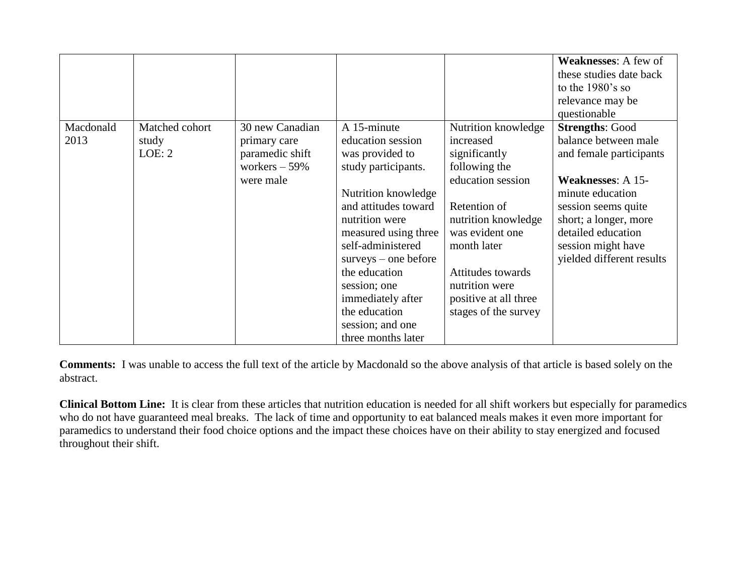| Macdonald<br>Matched cohort<br>2013<br>study | 30 new Canadian<br>primary care                | A 15-minute<br>education session                                                                                                                                                                                                                                                                | Nutrition knowledge<br>increased                                                                                                                                                                                     | <b>Weaknesses:</b> A few of<br>these studies date back<br>to the $1980$ 's so<br>relevance may be<br>questionable<br><b>Strengths: Good</b><br>balance between male                              |
|----------------------------------------------|------------------------------------------------|-------------------------------------------------------------------------------------------------------------------------------------------------------------------------------------------------------------------------------------------------------------------------------------------------|----------------------------------------------------------------------------------------------------------------------------------------------------------------------------------------------------------------------|--------------------------------------------------------------------------------------------------------------------------------------------------------------------------------------------------|
| LOE: 2                                       | paramedic shift<br>workers $-59%$<br>were male | was provided to<br>study participants.<br>Nutrition knowledge<br>and attitudes toward<br>nutrition were<br>measured using three<br>self-administered<br>$surveys - one before$<br>the education<br>session; one<br>immediately after<br>the education<br>session; and one<br>three months later | significantly<br>following the<br>education session<br>Retention of<br>nutrition knowledge<br>was evident one<br>month later<br>Attitudes towards<br>nutrition were<br>positive at all three<br>stages of the survey | and female participants<br><b>Weaknesses: A 15-</b><br>minute education<br>session seems quite<br>short; a longer, more<br>detailed education<br>session might have<br>yielded different results |

**Comments:** I was unable to access the full text of the article by Macdonald so the above analysis of that article is based solely on the abstract.

**Clinical Bottom Line:** It is clear from these articles that nutrition education is needed for all shift workers but especially for paramedics who do not have guaranteed meal breaks. The lack of time and opportunity to eat balanced meals makes it even more important for paramedics to understand their food choice options and the impact these choices have on their ability to stay energized and focused throughout their shift.